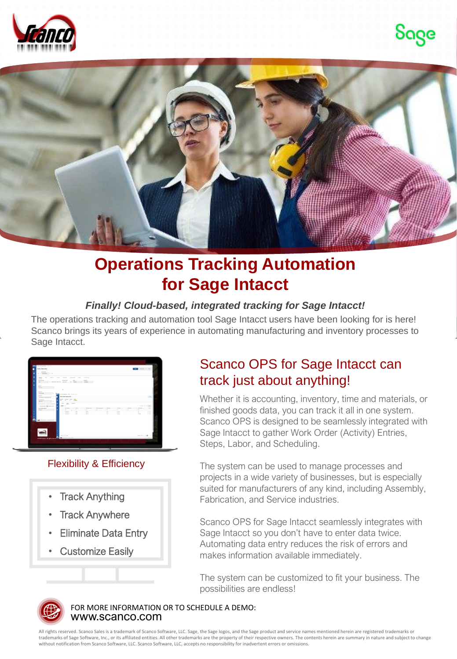





## **Operations Tracking Automation for Sage Intacct**

### *Finally! Cloud-based, integrated tracking for Sage Intacct!*

The operations tracking and automation tool Sage Intacct users have been looking for is here! Scanco brings its years of experience in automating manufacturing and inventory processes to Sage Intacct.



### Flexibility & Efficiency

- **Track Anything**
- **Track Anywhere**
- Eliminate Data Entry
- **Customize Easily**

## Scanco OPS for Sage Intacct can track just about anything!

Whether it is accounting, inventory, time and materials, or finished goods data, you can track it all in one system. Scanco OPS is designed to be seamlessly integrated with Sage Intacct to gather Work Order (Activity) Entries, Steps, Labor, and Scheduling.

The system can be used to manage processes and projects in a wide variety of businesses, but is especially suited for manufacturers of any kind, including Assembly, Fabrication, and Service industries.

Scanco OPS for Sage Intacct seamlessly integrates with Sage Intacct so you don't have to enter data twice. Automating data entry reduces the risk of errors and makes information available immediately.

The system can be customized to fit your business. The possibilities are endless!



www.scanco.com FOR MORE INFORMATION OR TO SCHEDULE A DEMO:

All rights reserved. Scanco Sales is a trademark of Scanco Software, LLC. Sage, the Sage logos, and the Sage product and service names mentioned herein are registered trademarks or trademarks of Sage Software, Inc., or its affiliated entities. All other trademarks are the property of their respective owners. The contents herein are summary in nature and subject to change without notification from Scanco Software, LLC. Scanco Software, LLC, accepts no responsibility for inadvertent errors or omissions.